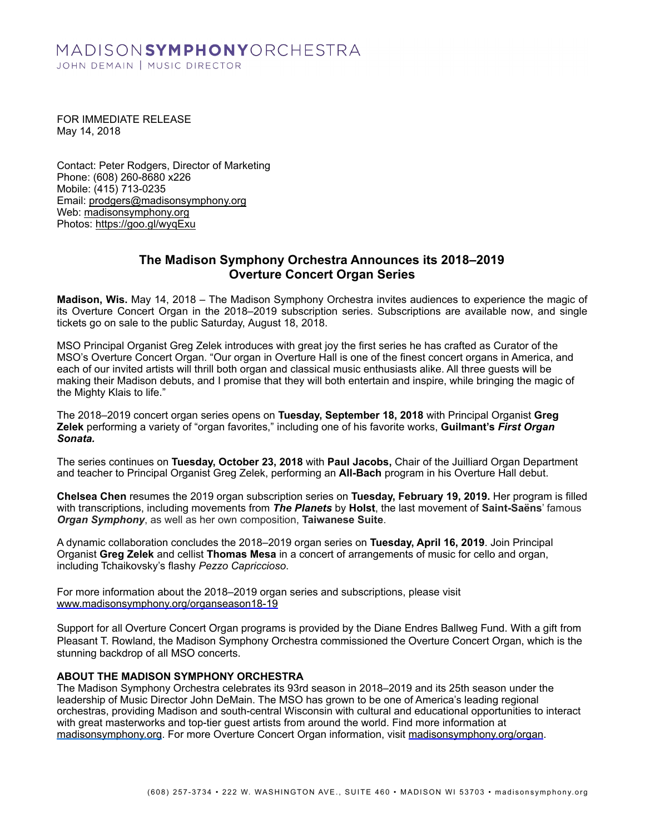# MADISONSYMPHONYORCHESTRA JOHN DEMAIN | MUSIC DIRECTOR

FOR IMMEDIATE RELEASE May 14, 2018

Contact: Peter Rodgers, Director of Marketing Phone: (608) 260-8680 x226 Mobile: (415) 713-0235 Email: [prodgers@madisonsymphony.org](mailto:prodgers@madisonsymphony.org) Web: [madisonsymphony.org](http://madisonsymphony.org)  Photos: <https://goo.gl/wyqExu>

## **The Madison Symphony Orchestra Announces its 2018–2019 Overture Concert Organ Series**

**Madison, Wis.** May 14, 2018 – The Madison Symphony Orchestra invites audiences to experience the magic of its Overture Concert Organ in the 2018–2019 subscription series. Subscriptions are available now, and single tickets go on sale to the public Saturday, August 18, 2018.

MSO Principal Organist Greg Zelek introduces with great joy the first series he has crafted as Curator of the MSO's Overture Concert Organ. "Our organ in Overture Hall is one of the finest concert organs in America, and each of our invited artists will thrill both organ and classical music enthusiasts alike. All three guests will be making their Madison debuts, and I promise that they will both entertain and inspire, while bringing the magic of the Mighty Klais to life."

The 2018–2019 concert organ series opens on **Tuesday, September 18, 2018** with Principal Organist **Greg Zelek** performing a variety of "organ favorites," including one of his favorite works, **Guilmant's** *First Organ Sonata.*

The series continues on **Tuesday, October 23, 2018** with **Paul Jacobs,** Chair of the Juilliard Organ Department and teacher to Principal Organist Greg Zelek, performing an **All-Bach** program in his Overture Hall debut.

**Chelsea Chen** resumes the 2019 organ subscription series on **Tuesday, February 19, 2019.** Her program is filled with transcriptions, including movements from *The Planets* by **Holst**, the last movement of **Saint-Saëns**' famous *Organ Symphony*, as well as her own composition, **Taiwanese Suite**.

A dynamic collaboration concludes the 2018–2019 organ series on **Tuesday, April 16, 2019**. Join Principal Organist **Greg Zelek** and cellist **Thomas Mesa** in a concert of arrangements of music for cello and organ, including Tchaikovsky's flashy *Pezzo Capriccioso*.

For more information about the 2018–2019 organ series and subscriptions, please visit [www.madisonsymphony.org/organseason18-19](http://www.madisonsymphony.org/organseason18-19) 

Support for all Overture Concert Organ programs is provided by the Diane Endres Ballweg Fund. With a gift from Pleasant T. Rowland, the Madison Symphony Orchestra commissioned the Overture Concert Organ, which is the stunning backdrop of all MSO concerts.

### **ABOUT THE MADISON SYMPHONY ORCHESTRA**

The Madison Symphony Orchestra celebrates its 93rd season in 2018–2019 and its 25th season under the leadership of Music Director John DeMain. The MSO has grown to be one of America's leading regional orchestras, providing Madison and south-central Wisconsin with cultural and educational opportunities to interact with great masterworks and top-tier guest artists from around the world. Find more information at [madisonsymphony.org.](https://www.madisonsymphony.org/) For more Overture Concert Organ information, visit [madisonsymphony.org/organ](http://madisonsymphony.org/organ).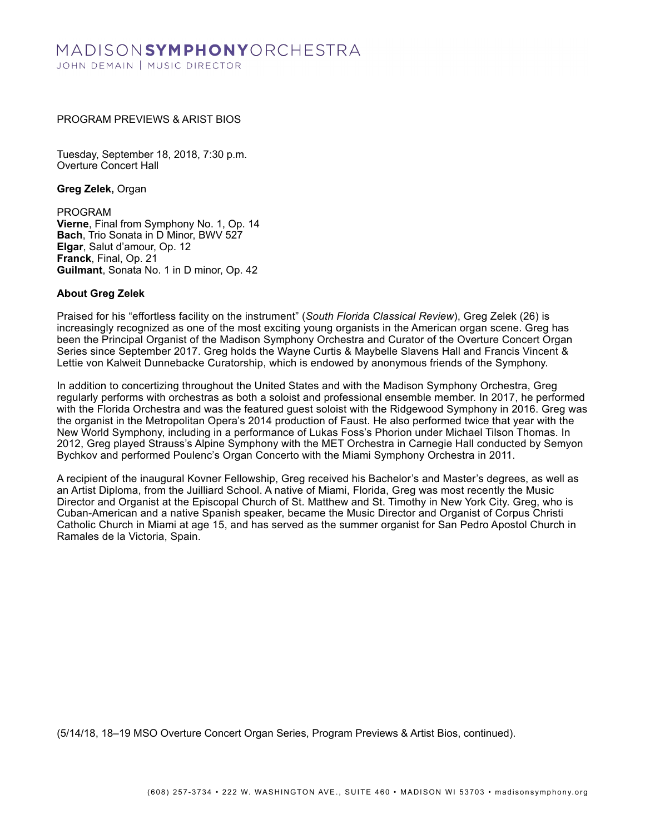# MADISON**symphony**orchestra JOHN DEMAIN | MUSIC DIRECTOR

### PROGRAM PREVIEWS & ARIST BIOS

Tuesday, September 18, 2018, 7:30 p.m. Overture Concert Hall

**Greg Zelek,** Organ

PROGRAM **Vierne**, Final from Symphony No. 1, Op. 14 **Bach**, Trio Sonata in D Minor, BWV 527 **Elgar**, Salut d'amour, Op. 12 **Franck**, Final, Op. 21 **Guilmant**, Sonata No. 1 in D minor, Op. 42

#### **About Greg Zelek**

Praised for his "effortless facility on the instrument" (*South Florida Classical Review*), Greg Zelek (26) is increasingly recognized as one of the most exciting young organists in the American organ scene. Greg has been the Principal Organist of the Madison Symphony Orchestra and Curator of the Overture Concert Organ Series since September 2017. Greg holds the Wayne Curtis & Maybelle Slavens Hall and Francis Vincent & Lettie von Kalweit Dunnebacke Curatorship, which is endowed by anonymous friends of the Symphony.

In addition to concertizing throughout the United States and with the Madison Symphony Orchestra, Greg regularly performs with orchestras as both a soloist and professional ensemble member. In 2017, he performed with the Florida Orchestra and was the featured guest soloist with the Ridgewood Symphony in 2016. Greg was the organist in the Metropolitan Opera's 2014 production of Faust. He also performed twice that year with the New World Symphony, including in a performance of Lukas Foss's Phorion under Michael Tilson Thomas. In 2012, Greg played Strauss's Alpine Symphony with the MET Orchestra in Carnegie Hall conducted by Semyon Bychkov and performed Poulenc's Organ Concerto with the Miami Symphony Orchestra in 2011.

A recipient of the inaugural Kovner Fellowship, Greg received his Bachelor's and Master's degrees, as well as an Artist Diploma, from the Juilliard School. A native of Miami, Florida, Greg was most recently the Music Director and Organist at the Episcopal Church of St. Matthew and St. Timothy in New York City. Greg, who is Cuban-American and a native Spanish speaker, became the Music Director and Organist of Corpus Christi Catholic Church in Miami at age 15, and has served as the summer organist for San Pedro Apostol Church in Ramales de la Victoria, Spain.

(5/14/18, 18–19 MSO Overture Concert Organ Series, Program Previews & Artist Bios, continued).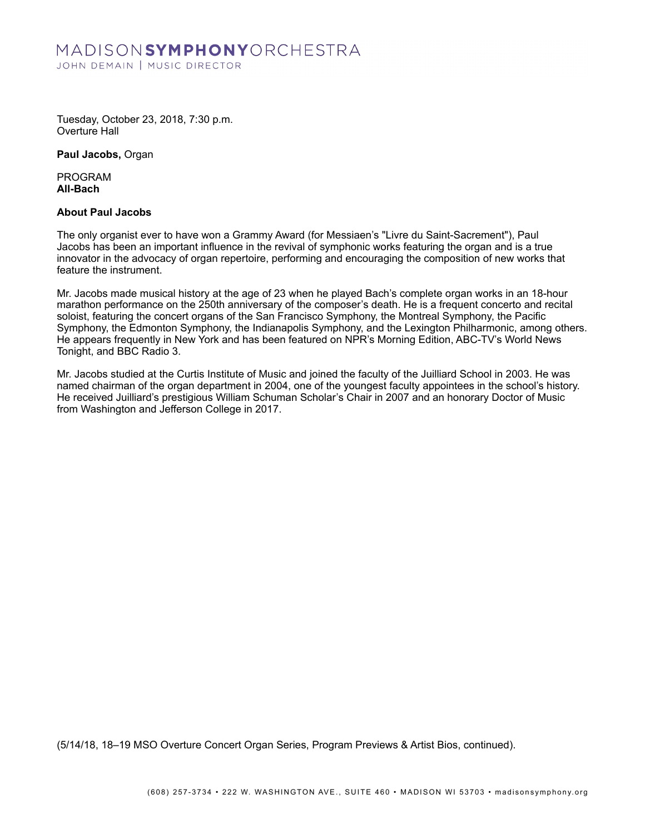# MADISONSYMPHONYORCHESTRA JOHN DEMAIN | MUSIC DIRECTOR

Tuesday, October 23, 2018, 7:30 p.m. Overture Hall

**Paul Jacobs,** Organ

PROGRAM **All-Bach**

### **About Paul Jacobs**

The only organist ever to have won a Grammy Award (for Messiaen's "Livre du Saint-Sacrement"), Paul Jacobs has been an important influence in the revival of symphonic works featuring the organ and is a true innovator in the advocacy of organ repertoire, performing and encouraging the composition of new works that feature the instrument.

Mr. Jacobs made musical history at the age of 23 when he played Bach's complete organ works in an 18-hour marathon performance on the 250th anniversary of the composer's death. He is a frequent concerto and recital soloist, featuring the concert organs of the San Francisco Symphony, the Montreal Symphony, the Pacific Symphony, the Edmonton Symphony, the Indianapolis Symphony, and the Lexington Philharmonic, among others. He appears frequently in New York and has been featured on NPR's Morning Edition, ABC-TV's World News Tonight, and BBC Radio 3.

Mr. Jacobs studied at the Curtis Institute of Music and joined the faculty of the Juilliard School in 2003. He was named chairman of the organ department in 2004, one of the youngest faculty appointees in the school's history. He received Juilliard's prestigious William Schuman Scholar's Chair in 2007 and an honorary Doctor of Music from Washington and Jefferson College in 2017.

(5/14/18, 18–19 MSO Overture Concert Organ Series, Program Previews & Artist Bios, continued).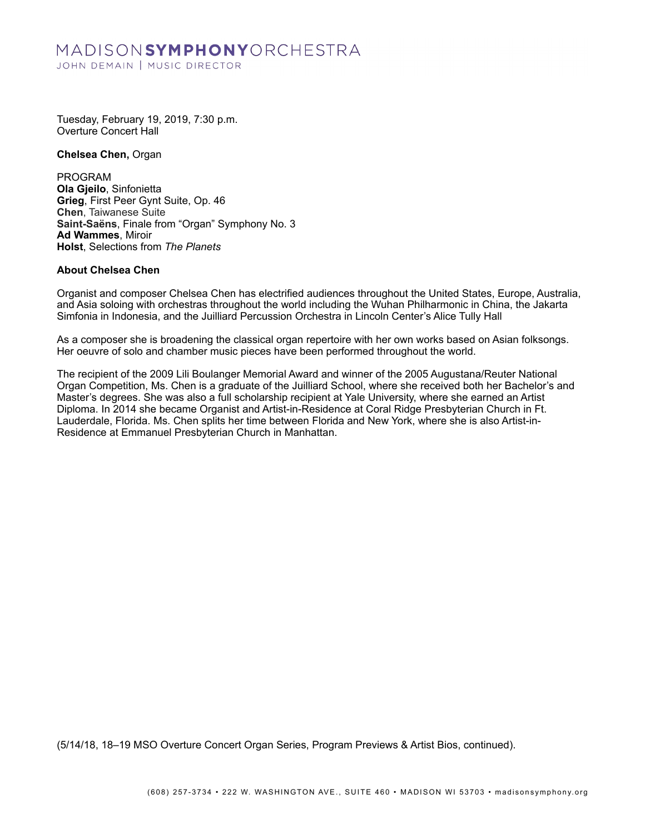## MADISONSYMPHONYORCHESTRA JOHN DEMAIN | MUSIC DIRECTOR

Tuesday, February 19, 2019, 7:30 p.m. Overture Concert Hall

**Chelsea Chen,** Organ

PROGRAM **Ola Gjeilo**, Sinfonietta **Grieg**, First Peer Gynt Suite, Op. 46 **Chen**, Taiwanese Suite **Saint-Saëns**, Finale from "Organ" Symphony No. 3 **Ad Wammes**, Miroir **Holst**, Selections from *The Planets*

#### **About Chelsea Chen**

Organist and composer Chelsea Chen has electrified audiences throughout the United States, Europe, Australia, and Asia soloing with orchestras throughout the world including the Wuhan Philharmonic in China, the Jakarta Simfonia in Indonesia, and the Juilliard Percussion Orchestra in Lincoln Center's Alice Tully Hall

As a composer she is broadening the classical organ repertoire with her own works based on Asian folksongs. Her oeuvre of solo and chamber music pieces have been performed throughout the world.

The recipient of the 2009 Lili Boulanger Memorial Award and winner of the 2005 Augustana/Reuter National Organ Competition, Ms. Chen is a graduate of the Juilliard School, where she received both her Bachelor's and Master's degrees. She was also a full scholarship recipient at Yale University, where she earned an Artist Diploma. In 2014 she became Organist and Artist-in-Residence at Coral Ridge Presbyterian Church in Ft. Lauderdale, Florida. Ms. Chen splits her time between Florida and New York, where she is also Artist-in-Residence at Emmanuel Presbyterian Church in Manhattan.

(5/14/18, 18–19 MSO Overture Concert Organ Series, Program Previews & Artist Bios, continued).